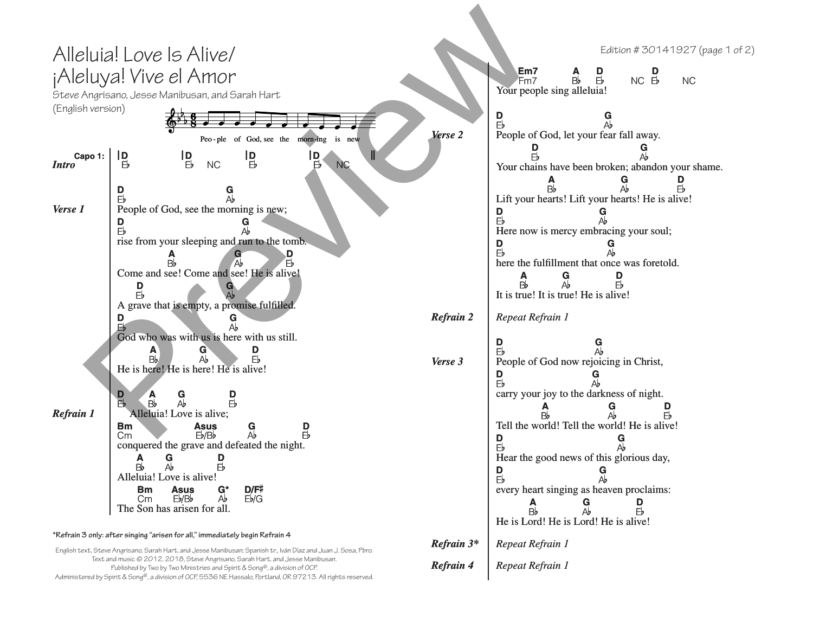## Alleluia! Love Is Alive/ ¡Aleluya! Vive el Amor

Steve Angrisano, Jesse Manibusan, and Sarah Hart (English version)

| (English version)                          |                                                                                                                           |  |  |  |  |  |
|--------------------------------------------|---------------------------------------------------------------------------------------------------------------------------|--|--|--|--|--|
|                                            |                                                                                                                           |  |  |  |  |  |
| Peo-ple of God, see the morn-ing<br>is new |                                                                                                                           |  |  |  |  |  |
| Capo 1:<br><b>Intro</b>                    | D<br>Ш<br>$\mathsf{I}_{\mathbb{B}}^{\mathsf{D}}$<br><u>lD</u><br>$\frac{1}{b}$<br>$E_{b}$<br><b>NC</b><br><b>NC</b><br>Eb |  |  |  |  |  |
|                                            | D<br>G<br>Ab<br>Eb                                                                                                        |  |  |  |  |  |
| Verse 1                                    | People of God, see the morning is new;<br>D<br>G<br>Eb<br>Аb                                                              |  |  |  |  |  |
|                                            | rise from your sleeping and run to the tomb.                                                                              |  |  |  |  |  |
|                                            | D<br>Eb<br>Вb<br>Come and see! Come and see! He is alive!                                                                 |  |  |  |  |  |
|                                            | D<br>G<br>Eb                                                                                                              |  |  |  |  |  |
|                                            | A grave that is empty, a promise fulfilled.                                                                               |  |  |  |  |  |
|                                            | D<br>G<br>FЬ<br>Ah                                                                                                        |  |  |  |  |  |
|                                            | God who was with us is here with us still.<br>А<br>G<br>$\mathsf{A}\mathsf{b}$<br>B,<br>Fb                                |  |  |  |  |  |
|                                            | He is here! He is here! He is alive!                                                                                      |  |  |  |  |  |
|                                            | $\mathbf{D}$<br>A<br>G<br>Вb<br>Аb<br>Fb                                                                                  |  |  |  |  |  |
| <b>Refrain 1</b>                           | Alleluia! Love is alive;                                                                                                  |  |  |  |  |  |
|                                            | <b>Bm</b><br><b>Asus</b><br>G<br>D<br>Eb<br>Ab<br>Eb/Bb<br>Cm                                                             |  |  |  |  |  |
|                                            | conquered the grave and defeated the night.<br>Ģ<br>D                                                                     |  |  |  |  |  |
|                                            | ĒЬ<br>$\mathsf{A}\mathsf{b}$<br>Вb                                                                                        |  |  |  |  |  |
|                                            | Alleluia! Love is alive!<br>D/F#<br>G*<br><b>Bm</b><br><b>Asus</b>                                                        |  |  |  |  |  |
|                                            | Eb/G<br>Аb<br>Сm<br>Eb/Bb<br>The Son has arisen for all.                                                                  |  |  |  |  |  |

## **\*Refrain 3 only: after singing "arisen for all," immediately begin Refrain 4**

English text, Steve Angrisano, Sarah Hart, and Jesse Manibusan; Spanish tr., Iván Díaz and Juan J. Sosa, Pbro. Text and music © 2012, 2018, Steve Angrisano, Sarah Hart, and Jesse Manibusan. Published by Two by Two Ministries and Spirit & Song®, a division of OCP. Administered by Spirit & Song®, a division of OCP, 5536 NE Hassalo, Portland, OR 97213. All rights reserved.

|                     | eluia! Love Is Alive/                                                                                                                                                                                                         |                                                                                                     | Edition #30141927 (page 1 of 2)                                                                                                                                     |
|---------------------|-------------------------------------------------------------------------------------------------------------------------------------------------------------------------------------------------------------------------------|-----------------------------------------------------------------------------------------------------|---------------------------------------------------------------------------------------------------------------------------------------------------------------------|
|                     | eluya! Vive el Amor<br>Angrisano, Jesse Manibusan, and Sarah Hart                                                                                                                                                             | Em7<br>$\frac{D}{E}$<br>$NC$ $\overline{E}$<br>Bb<br><b>NC</b><br>Fm7<br>Your people sing alleluia! |                                                                                                                                                                     |
| sh version)         | Peo-ple of God, see the morn-ing<br>is new                                                                                                                                                                                    | D<br>G<br>Ab<br>People of God, let your fear fall away.                                             |                                                                                                                                                                     |
| apo 1:              | ID.<br>$\frac{1}{2}$<br>l D<br>Eb<br>$\frac{1}{5}$<br><b>NC</b><br><b>NC</b><br>Eb                                                                                                                                            |                                                                                                     | Your chains have been broken; abandon your shame.                                                                                                                   |
| D<br>1<br>Eb        | People of God, see the morning is new;                                                                                                                                                                                        |                                                                                                     | Lift your hearts! Lift your hearts! He is alive!<br>Here now is mercy embracing your soul;                                                                          |
| D                   | rise from your sleeping and run to the tomb.<br>Come and see! Come and see! He is alive!<br>D<br>Fb<br>A grave that is empty, a promise fulfilled.                                                                            | <b>Refrain 2</b>                                                                                    | here the fulfillment that once was foretold.<br>$\frac{G}{A}$<br>D<br>B <sub>b</sub><br>It is true! It is true! He is alive!<br>Repeat Refrain 1                    |
|                     | God who was with us is here with us still.<br>D<br>Eb<br>$\frac{G}{\Delta b}$<br>He is here! He is here! He is alive!                                                                                                         | Verse 3                                                                                             | D<br>People of God now rejoicing in Christ,<br>D                                                                                                                    |
| D<br>n <sub>1</sub> | G<br>$E_{b}$<br>Bb<br>卧<br>Alleluia! Love is alive;<br><b>Bm</b><br><b>Asus</b><br>G<br>D<br>Аb<br>Eb/Bb<br>Cm                                                                                                                |                                                                                                     | carry your joy to the darkness of night.<br>Tell the world! Tell the world! He is alive!<br>D                                                                       |
|                     | conquered the grave and defeated the night.<br>$\frac{G}{A}$<br>D<br>$A$ <sub>B</sub><br>$\bar{E}$<br>Alleluia! Love is alive!<br>D/F#<br><b>Asus</b><br>Вm<br>G*<br>Eb/G<br>Eb/Bb<br>Аb<br>Сm<br>The Son has arisen for all. |                                                                                                     | Hear the good news of this glorious day,<br>D<br>G<br>Eb<br>Аb<br>every heart singing as heaven proclaims:<br>A<br>G<br>Ab<br>D<br>E <sub>b</sub><br>B <sub>b</sub> |
|                     | 3 only: after singing "arisen for all," immediately begin Refrain 4<br>ext, Steve Angrisano, Sarah Hart, and Jesse Manibusan; Spanish tr., Iván Díaz and Juan J. Sosa, Pbro.                                                  | Refrain 3*                                                                                          | He is Lord! He is Lord! He is alive!<br>Repeat Refrain 1                                                                                                            |
|                     | Text and music © 2012, 2018, Steve Angrisano, Sarah Hart, and Jesse Manibusan.<br>Published by Two by Two Ministries and Spirit & Song®, a division of OCP.                                                                   | <b>Refrain 4</b>                                                                                    | Repeat Refrain 1                                                                                                                                                    |